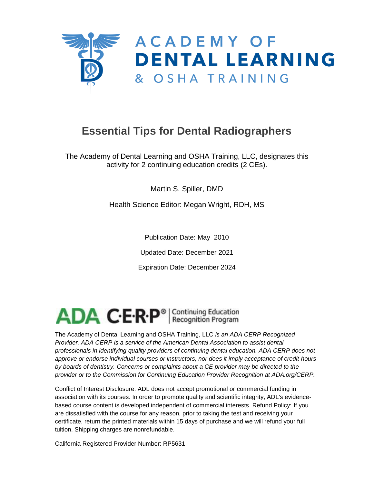

# **Essential Tips for Dental Radiographers**

The Academy of Dental Learning and OSHA Training, LLC, designates this activity for 2 continuing education credits (2 CEs).

Martin S. Spiller, DMD

Health Science Editor: Megan Wright, RDH, MS

Publication Date: May 2010

Updated Date: December 2021

Expiration Date: December 2024

ADA C.E.R.P<sup>®</sup> | Continuing Education

The Academy of Dental Learning and OSHA Training, LLC *is an ADA CERP Recognized Provider. ADA CERP is a service of the American Dental Association to assist dental professionals in identifying quality providers of continuing dental education. ADA CERP does not approve or endorse individual courses or instructors, nor does it imply acceptance of credit hours by boards of dentistry. Concerns or complaints about a CE provider may be directed to the provider or to the Commission for Continuing Education Provider Recognition at ADA.org/CERP.*

Conflict of Interest Disclosure: ADL does not accept promotional or commercial funding in association with its courses. In order to promote quality and scientific integrity, ADL's evidencebased course content is developed independent of commercial interests. Refund Policy: If you are dissatisfied with the course for any reason, prior to taking the test and receiving your certificate, return the printed materials within 15 days of purchase and we will refund your full tuition. Shipping charges are nonrefundable.

California Registered Provider Number: RP5631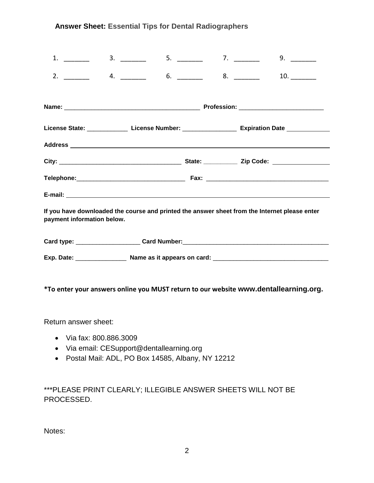#### **Answer Sheet: Essential Tips for Dental Radiographers**

| 1.                                                                                                                          | 3. |  |  | 9.                                                                                                        |  |  |  |
|-----------------------------------------------------------------------------------------------------------------------------|----|--|--|-----------------------------------------------------------------------------------------------------------|--|--|--|
|                                                                                                                             |    |  |  | 10.                                                                                                       |  |  |  |
|                                                                                                                             |    |  |  |                                                                                                           |  |  |  |
|                                                                                                                             |    |  |  | License State: _________________ License Number: _______________________ Expiration Date ________________ |  |  |  |
|                                                                                                                             |    |  |  |                                                                                                           |  |  |  |
|                                                                                                                             |    |  |  |                                                                                                           |  |  |  |
|                                                                                                                             |    |  |  |                                                                                                           |  |  |  |
|                                                                                                                             |    |  |  |                                                                                                           |  |  |  |
| If you have downloaded the course and printed the answer sheet from the Internet please enter<br>payment information below. |    |  |  |                                                                                                           |  |  |  |
|                                                                                                                             |    |  |  |                                                                                                           |  |  |  |
|                                                                                                                             |    |  |  |                                                                                                           |  |  |  |
|                                                                                                                             |    |  |  | *To enter your answers online you MUST return to our website www.dentallearning.org.                      |  |  |  |

Return answer sheet:

- Via fax: 800.886.3009
- Via email: CESupport@dentallearning.org
- Postal Mail: ADL, PO Box 14585, Albany, NY 12212

\*\*\*PLEASE PRINT CLEARLY; ILLEGIBLE ANSWER SHEETS WILL NOT BE PROCESSED.

Notes: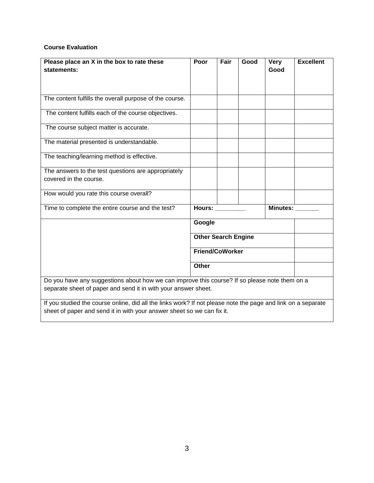#### **Course Evaluation**

| Please place an X in the box to rate these<br>statements:                                                                                                                                                                                                                       | Poor                                          | Fair | Good | <b>Very</b><br>Good | <b>Excellent</b> |
|---------------------------------------------------------------------------------------------------------------------------------------------------------------------------------------------------------------------------------------------------------------------------------|-----------------------------------------------|------|------|---------------------|------------------|
| The content fulfills the overall purpose of the course.                                                                                                                                                                                                                         |                                               |      |      |                     |                  |
| The content fulfills each of the course objectives.                                                                                                                                                                                                                             |                                               |      |      |                     |                  |
| The course subject matter is accurate.                                                                                                                                                                                                                                          |                                               |      |      |                     |                  |
| The material presented is understandable.                                                                                                                                                                                                                                       |                                               |      |      |                     |                  |
| The teaching/learning method is effective.                                                                                                                                                                                                                                      |                                               |      |      |                     |                  |
| The answers to the test questions are appropriately<br>covered in the course.                                                                                                                                                                                                   |                                               |      |      |                     |                  |
| How would you rate this course overall?                                                                                                                                                                                                                                         |                                               |      |      |                     |                  |
| Time to complete the entire course and the test?                                                                                                                                                                                                                                | <b>Hours:</b><br><b>Minutes:</b>              |      |      |                     |                  |
|                                                                                                                                                                                                                                                                                 | Google                                        |      |      |                     |                  |
|                                                                                                                                                                                                                                                                                 | <b>Other Search Engine</b><br>Friend/CoWorker |      |      |                     |                  |
|                                                                                                                                                                                                                                                                                 |                                               |      |      |                     |                  |
|                                                                                                                                                                                                                                                                                 | <b>Other</b>                                  |      |      |                     |                  |
| Do you have any suggestions about how we can improve this course? If so please note them on a<br>separate sheet of paper and send it in with your answer sheet.<br>If you studied the course online, did all the links work? If not please note the page and link on a separate |                                               |      |      |                     |                  |

sheet of paper and send it in with your answer sheet so we can fix it.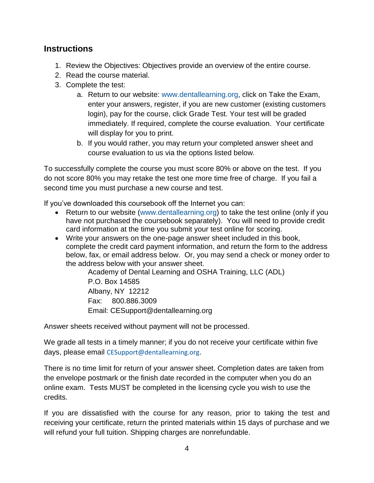### **Instructions**

- 1. Review the Objectives: Objectives provide an overview of the entire course.
- 2. Read the course material.
- 3. Complete the test:
	- a. Return to our website: [www.dentallearning.org,](http://www.dentallearning.org/) click on Take the Exam, enter your answers, register, if you are new customer (existing customers login), pay for the course, click Grade Test. Your test will be graded immediately. If required, complete the course evaluation. Your certificate will display for you to print.
	- b. If you would rather, you may return your completed answer sheet and course evaluation to us via the options listed below.

To successfully complete the course you must score 80% or above on the test. If you do not score 80% you may retake the test one more time free of charge. If you fail a second time you must purchase a new course and test.

If you've downloaded this coursebook off the Internet you can:

- Return to our website [\(www.dentallearning.org\)](http://www.dentallearning.org/) to take the test online (only if you have not purchased the coursebook separately). You will need to provide credit card information at the time you submit your test online for scoring.
- Write your answers on the one-page answer sheet included in this book, complete the credit card payment information, and return the form to the address below, fax, or email address below. Or, you may send a check or money order to the address below with your answer sheet.

Academy of Dental Learning and OSHA Training, LLC (ADL) P.O. Box 14585 Albany, NY 12212 Fax: 800.886.3009 Email: CESupport@dentallearning.org

Answer sheets received without payment will not be processed.

We grade all tests in a timely manner; if you do not receive your certificate within five days, please email [CESupport@dentallearning.org](mailto:CESupport@dentallearning.org).

There is no time limit for return of your answer sheet. Completion dates are taken from the envelope postmark or the finish date recorded in the computer when you do an online exam. Tests MUST be completed in the licensing cycle you wish to use the credits.

If you are dissatisfied with the course for any reason, prior to taking the test and receiving your certificate, return the printed materials within 15 days of purchase and we will refund your full tuition. Shipping charges are nonrefundable.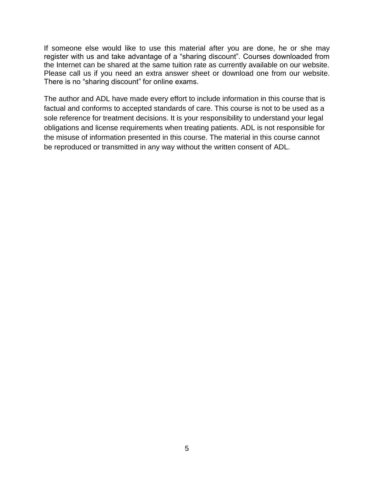If someone else would like to use this material after you are done, he or she may register with us and take advantage of a "sharing discount". Courses downloaded from the Internet can be shared at the same tuition rate as currently available on our website. Please call us if you need an extra answer sheet or download one from our website. There is no "sharing discount" for online exams.

The author and ADL have made every effort to include information in this course that is factual and conforms to accepted standards of care. This course is not to be used as a sole reference for treatment decisions. It is your responsibility to understand your legal obligations and license requirements when treating patients. ADL is not responsible for the misuse of information presented in this course. The material in this course cannot be reproduced or transmitted in any way without the written consent of ADL.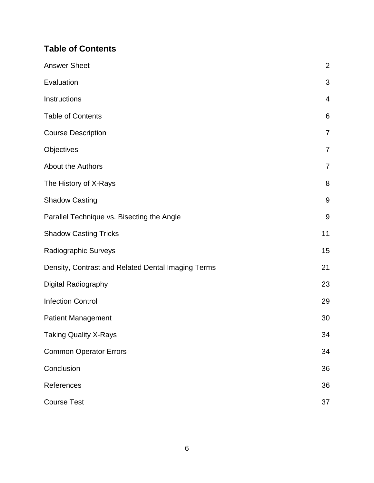# **Table of Contents**

| <b>Answer Sheet</b>                                | $\overline{2}$   |
|----------------------------------------------------|------------------|
| Evaluation                                         | 3                |
| Instructions                                       | 4                |
| <b>Table of Contents</b>                           | 6                |
| <b>Course Description</b>                          | $\overline{7}$   |
| Objectives                                         | $\overline{7}$   |
| About the Authors                                  | $\overline{7}$   |
| The History of X-Rays                              | 8                |
| <b>Shadow Casting</b>                              | 9                |
| Parallel Technique vs. Bisecting the Angle         | $\boldsymbol{9}$ |
| <b>Shadow Casting Tricks</b>                       | 11               |
| Radiographic Surveys                               | 15               |
| Density, Contrast and Related Dental Imaging Terms | 21               |
| Digital Radiography                                | 23               |
| <b>Infection Control</b>                           | 29               |
| <b>Patient Management</b>                          | 30               |
| <b>Taking Quality X-Rays</b>                       | 34               |
| <b>Common Operator Errors</b>                      | 34               |
| Conclusion                                         | 36               |
| References                                         | 36               |
| <b>Course Test</b>                                 | 37               |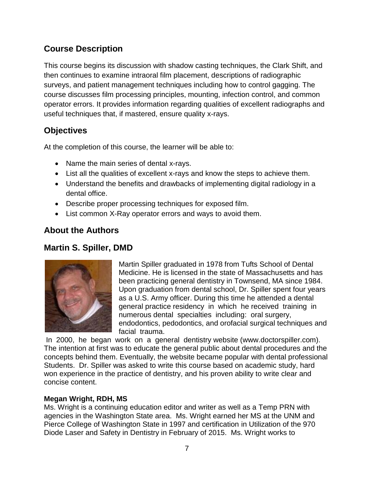### **Course Description**

This course begins its discussion with shadow casting techniques, the Clark Shift, and then continues to examine intraoral film placement, descriptions of radiographic surveys, and patient management techniques including how to control gagging. The course discusses film processing principles, mounting, infection control, and common operator errors. It provides information regarding qualities of excellent radiographs and useful techniques that, if mastered, ensure quality x-rays.

## **Objectives**

At the completion of this course, the learner will be able to:

- Name the main series of dental x-rays.
- List all the qualities of excellent x-rays and know the steps to achieve them.
- Understand the benefits and drawbacks of implementing digital radiology in a dental office.
- Describe proper processing techniques for exposed film.
- List common X-Ray operator errors and ways to avoid them.

### **About the Authors**

### **Martin S. Spiller, DMD**



Martin Spiller graduated in 1978 from Tufts School of Dental Medicine. He is licensed in the state of Massachusetts and has been practicing general dentistry in Townsend, MA since 1984. Upon graduation from dental school, Dr. Spiller spent four years as a U.S. Army officer. During this time he attended a dental general practice residency in which he received training in numerous dental specialties including: oral surgery, endodontics, pedodontics, and orofacial surgical techniques and facial trauma.

In 2000, he began work on a general dentistry website (www.doctorspiller.com). The intention at first was to educate the general public about dental procedures and the concepts behind them. Eventually, the website became popular with dental professional Students. Dr. Spiller was asked to write this course based on academic study, hard won experience in the practice of dentistry, and his proven ability to write clear and concise content.

### **Megan Wright, RDH, MS**

Ms. Wright is a continuing education editor and writer as well as a Temp PRN with agencies in the Washington State area. Ms. Wright earned her MS at the UNM and Pierce College of Washington State in 1997 and certification in Utilization of the 970 Diode Laser and Safety in Dentistry in February of 2015. Ms. Wright works to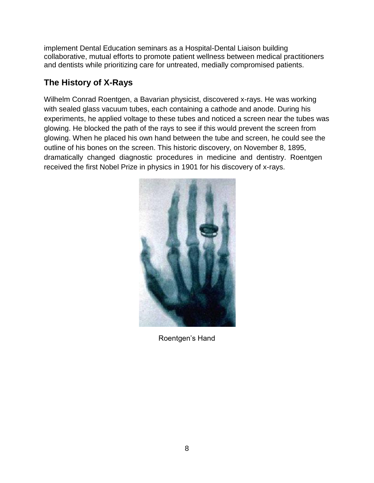implement Dental Education seminars as a Hospital-Dental Liaison building collaborative, mutual efforts to promote patient wellness between medical practitioners and dentists while prioritizing care for untreated, medially compromised patients.

### **The History of X-Rays**

Wilhelm Conrad Roentgen, a Bavarian physicist, discovered x-rays. He was working with sealed glass vacuum tubes, each containing a cathode and anode. During his experiments, he applied voltage to these tubes and noticed a screen near the tubes was glowing. He blocked the path of the rays to see if this would prevent the screen from glowing. When he placed his own hand between the tube and screen, he could see the outline of his bones on the screen. This historic discovery, on November 8, 1895, dramatically changed diagnostic procedures in medicine and dentistry. Roentgen received the first Nobel Prize in physics in 1901 for his discovery of x-rays.



Roentgen's Hand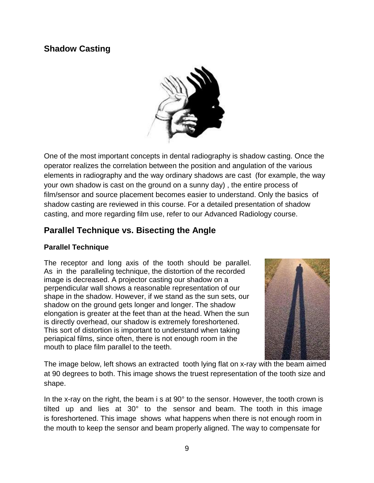### **Shadow Casting**



One of the most important concepts in dental radiography is shadow casting. Once the operator realizes the correlation between the position and angulation of the various elements in radiography and the way ordinary shadows are cast (for example, the way your own shadow is cast on the ground on a sunny day) , the entire process of film/sensor and source placement becomes easier to understand. Only the basics of shadow casting are reviewed in this course. For a detailed presentation of shadow casting, and more regarding film use, refer to our Advanced Radiology course.

### **Parallel Technique vs. Bisecting the Angle**

#### **Parallel Technique**

The receptor and long axis of the tooth should be parallel. As in the paralleling technique, the distortion of the recorded image is decreased. A projector casting our shadow on a perpendicular wall shows a reasonable representation of our shape in the shadow. However, if we stand as the sun sets, our shadow on the ground gets longer and longer. The shadow elongation is greater at the feet than at the head. When the sun is directly overhead, our shadow is extremely foreshortened. This sort of distortion is important to understand when taking periapical films, since often, there is not enough room in the mouth to place film parallel to the teeth.



The image below, left shows an extracted tooth lying flat on x-ray with the beam aimed at 90 degrees to both. This image shows the truest representation of the tooth size and shape.

In the x-ray on the right, the beam i s at 90° to the sensor. However, the tooth crown is tilted up and lies at 30° to the sensor and beam. The tooth in this image is foreshortened. This image shows what happens when there is not enough room in the mouth to keep the sensor and beam properly aligned. The way to compensate for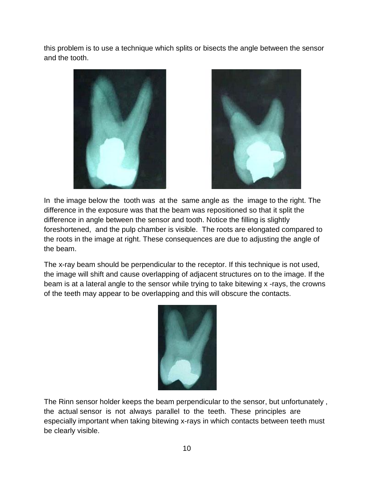this problem is to use a technique which splits or bisects the angle between the sensor and the tooth.





In the image below the tooth was at the same angle as the image to the right. The difference in the exposure was that the beam was repositioned so that it split the difference in angle between the sensor and tooth. Notice the filling is slightly foreshortened, and the pulp chamber is visible. The roots are elongated compared to the roots in the image at right. These consequences are due to adjusting the angle of the beam.

The x-ray beam should be perpendicular to the receptor. If this technique is not used, the image will shift and cause overlapping of adjacent structures on to the image. If the beam is at a lateral angle to the sensor while trying to take bitewing x -rays, the crowns of the teeth may appear to be overlapping and this will obscure the contacts.



The Rinn sensor holder keeps the beam perpendicular to the sensor, but unfortunately , the actual sensor is not always parallel to the teeth. These principles are especially important when taking bitewing x-rays in which contacts between teeth must be clearly visible.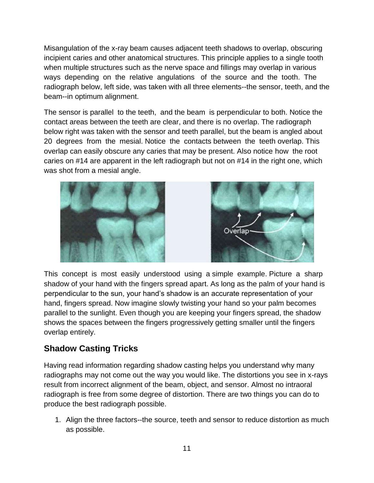Misangulation of the x-ray beam causes adjacent teeth shadows to overlap, obscuring incipient caries and other anatomical structures. This principle applies to a single tooth when multiple structures such as the nerve space and fillings may overlap in various ways depending on the relative angulations of the source and the tooth. The radiograph below, left side, was taken with all three elements--the sensor, teeth, and the beam--in optimum alignment.

The sensor is parallel to the teeth, and the beam is perpendicular to both. Notice the contact areas between the teeth are clear, and there is no overlap. The radiograph below right was taken with the sensor and teeth parallel, but the beam is angled about 20 degrees from the mesial. Notice the contacts between the teeth overlap. This overlap can easily obscure any caries that may be present. Also notice how the root caries on #14 are apparent in the left radiograph but not on #14 in the right one, which was shot from a mesial angle.



This concept is most easily understood using a simple example. Picture a sharp shadow of your hand with the fingers spread apart. As long as the palm of your hand is perpendicular to the sun, your hand's shadow is an accurate representation of your hand, fingers spread. Now imagine slowly twisting your hand so your palm becomes parallel to the sunlight. Even though you are keeping your fingers spread, the shadow shows the spaces between the fingers progressively getting smaller until the fingers overlap entirely.

### **Shadow Casting Tricks**

Having read information regarding shadow casting helps you understand why many radiographs may not come out the way you would like. The distortions you see in x-rays result from incorrect alignment of the beam, object, and sensor. Almost no intraoral radiograph is free from some degree of distortion. There are two things you can do to produce the best radiograph possible.

1. Align the three factors--the source, teeth and sensor to reduce distortion as much as possible.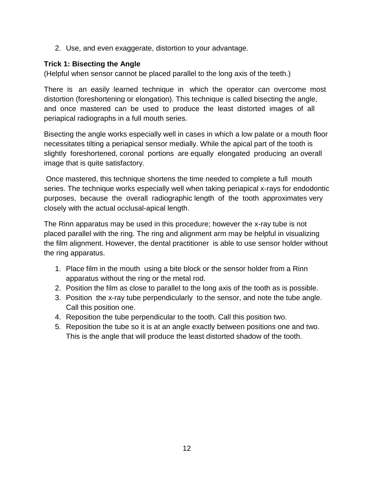2. Use, and even exaggerate, distortion to your advantage.

#### **Trick 1: Bisecting the Angle**

(Helpful when sensor cannot be placed parallel to the long axis of the teeth.)

There is an easily learned technique in which the operator can overcome most distortion (foreshortening or elongation). This technique is called bisecting the angle, and once mastered can be used to produce the least distorted images of all periapical radiographs in a full mouth series.

Bisecting the angle works especially well in cases in which a low palate or a mouth floor necessitates tilting a periapical sensor medially. While the apical part of the tooth is slightly foreshortened, coronal portions are equally elongated producing an overall image that is quite satisfactory.

Once mastered, this technique shortens the time needed to complete a full mouth series. The technique works especially well when taking periapical x-rays for endodontic purposes, because the overall radiographic length of the tooth approximates very closely with the actual occlusal-apical length.

The Rinn apparatus may be used in this procedure; however the x-ray tube is not placed parallel with the ring. The ring and alignment arm may be helpful in visualizing the film alignment. However, the dental practitioner is able to use sensor holder without the ring apparatus.

- 1. Place film in the mouth using a bite block or the sensor holder from a Rinn apparatus without the ring or the metal rod.
- 2. Position the film as close to parallel to the long axis of the tooth as is possible.
- 3. Position the x-ray tube perpendicularly to the sensor, and note the tube angle. Call this position one.
- 4. Reposition the tube perpendicular to the tooth. Call this position two.
- 5. Reposition the tube so it is at an angle exactly between positions one and two. This is the angle that will produce the least distorted shadow of the tooth.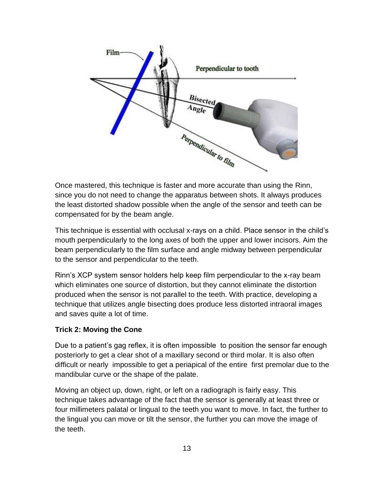

Once mastered, this technique is faster and more accurate than using the Rinn, since you do not need to change the apparatus between shots. It always produces the least distorted shadow possible when the angle of the sensor and teeth can be compensated for by the beam angle.

This technique is essential with occlusal x-rays on a child. Place sensor in the child's mouth perpendicularly to the long axes of both the upper and lower incisors. Aim the beam perpendicularly to the film surface and angle midway between perpendicular to the sensor and perpendicular to the teeth.

Rinn's XCP system sensor holders help keep film perpendicular to the x-ray beam which eliminates one source of distortion, but they cannot eliminate the distortion produced when the sensor is not parallel to the teeth. With practice, developing a technique that utilizes angle bisecting does produce less distorted intraoral images and saves quite a lot of time.

### **Trick 2: Moving the Cone**

Due to a patient's gag reflex, it is often impossible to position the sensor far enough posteriorly to get a clear shot of a maxillary second or third molar. It is also often difficult or nearly impossible to get a periapical of the entire first premolar due to the mandibular curve or the shape of the palate.

Moving an object up, down, right, or left on a radiograph is fairly easy. This technique takes advantage of the fact that the sensor is generally at least three or four millimeters palatal or lingual to the teeth you want to move. In fact, the further to the lingual you can move or tilt the sensor, the further you can move the image of the teeth.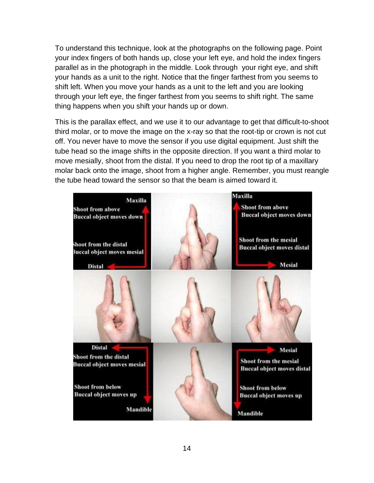To understand this technique, look at the photographs on the following page. Point your index fingers of both hands up, close your left eye, and hold the index fingers parallel as in the photograph in the middle. Look through your right eye, and shift your hands as a unit to the right. Notice that the finger farthest from you seems to shift left. When you move your hands as a unit to the left and you are looking through your left eye, the finger farthest from you seems to shift right. The same thing happens when you shift your hands up or down.

This is the parallax effect, and we use it to our advantage to get that difficult-to-shoot third molar, or to move the image on the x-ray so that the root-tip or crown is not cut off. You never have to move the sensor if you use digital equipment. Just shift the tube head so the image shifts in the opposite direction. If you want a third molar to move mesially, shoot from the distal. If you need to drop the root tip of a maxillary molar back onto the image, shoot from a higher angle. Remember, you must reangle the tube head toward the sensor so that the beam is aimed toward it.

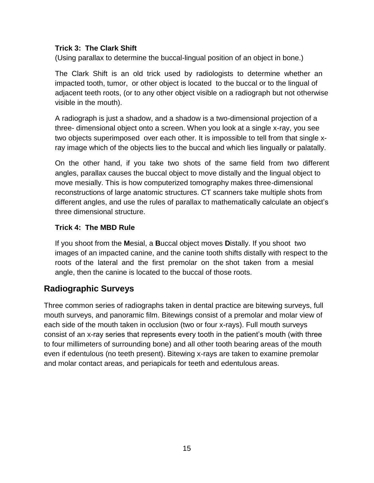#### **Trick 3: The Clark Shift**

(Using parallax to determine the buccal-lingual position of an object in bone.)

The Clark Shift is an old trick used by radiologists to determine whether an impacted tooth, tumor, or other object is located to the buccal or to the lingual of adjacent teeth roots, (or to any other object visible on a radiograph but not otherwise visible in the mouth).

A radiograph is just a shadow, and a shadow is a two-dimensional projection of a three- dimensional object onto a screen. When you look at a single x-ray, you see two objects superimposed over each other. It is impossible to tell from that single xray image which of the objects lies to the buccal and which lies lingually or palatally.

On the other hand, if you take two shots of the same field from two different angles, parallax causes the buccal object to move distally and the lingual object to move mesially. This is how computerized tomography makes three-dimensional reconstructions of large anatomic structures. CT scanners take multiple shots from different angles, and use the rules of parallax to mathematically calculate an object's three dimensional structure.

#### **Trick 4: The MBD Rule**

If you shoot from the **M**esial, a **B**uccal object moves **D**istally. If you shoot two images of an impacted canine, and the canine tooth shifts distally with respect to the roots of the lateral and the first premolar on the shot taken from a mesial angle, then the canine is located to the buccal of those roots.

### **Radiographic Surveys**

Three common series of radiographs taken in dental practice are bitewing surveys, full mouth surveys, and panoramic film. Bitewings consist of a premolar and molar view of each side of the mouth taken in occlusion (two or four x-rays). Full mouth surveys consist of an x-ray series that represents every tooth in the patient's mouth (with three to four millimeters of surrounding bone) and all other tooth bearing areas of the mouth even if edentulous (no teeth present). Bitewing x-rays are taken to examine premolar and molar contact areas, and periapicals for teeth and edentulous areas.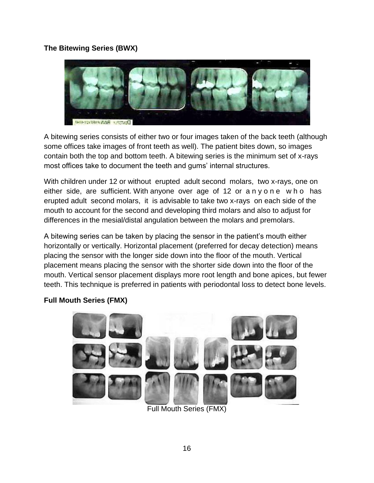#### **The Bitewing Series (BWX)**



A bitewing series consists of either two or four images taken of the back teeth (although some offices take images of front teeth as well). The patient bites down, so images contain both the top and bottom teeth. A bitewing series is the minimum set of x-rays most offices take to document the teeth and gums' internal structures.

With children under 12 or without erupted adult second molars, two x-rays, one on either side, are sufficient. With anyone over age of 12 or anyone who has erupted adult second molars, it is advisable to take two x-rays on each side of the mouth to account for the second and developing third molars and also to adjust for differences in the mesial/distal angulation between the molars and premolars.

A bitewing series can be taken by placing the sensor in the patient's mouth either horizontally or vertically. Horizontal placement (preferred for decay detection) means placing the sensor with the longer side down into the floor of the mouth. Vertical placement means placing the sensor with the shorter side down into the floor of the mouth. Vertical sensor placement displays more root length and bone apices, but fewer teeth. This technique is preferred in patients with periodontal loss to detect bone levels.

### **Full Mouth Series (FMX)**



Full Mouth Series (FMX)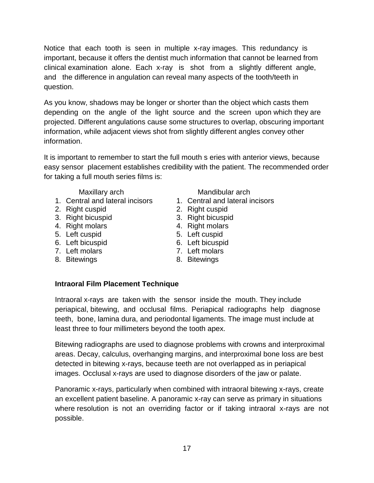Notice that each tooth is seen in multiple x-ray images. This redundancy is important, because it offers the dentist much information that cannot be learned from clinical examination alone. Each x-ray is shot from a slightly different angle, and the difference in angulation can reveal many aspects of the tooth/teeth in question.

As you know, shadows may be longer or shorter than the object which casts them depending on the angle of the light source and the screen upon which they are projected. Different angulations cause some structures to overlap, obscuring important information, while adjacent views shot from slightly different angles convey other information.

It is important to remember to start the full mouth s eries with anterior views, because easy sensor placement establishes credibility with the patient. The recommended order for taking a full mouth series films is:

- 1. Central and lateral incisors
- 2. Right cuspid
- 3. Right bicuspid
- 4. Right molars
- 5. Left cuspid
- 6. Left bicuspid
- 7. Left molars
- 8. Bitewings

Maxillary arch **Mandibular** arch Mandibular arch

- 1. Central and lateral incisors
- 2. Right cuspid
- 3. Right bicuspid
- 4. Right molars
- 5. Left cuspid
- 6. Left bicuspid
- 7. Left molars
- 8. Bitewings

#### **Intraoral Film Placement Technique**

Intraoral x-rays are taken with the sensor inside the mouth. They include periapical, bitewing, and occlusal films. Periapical radiographs help diagnose teeth, bone, lamina dura, and periodontal ligaments. The image must include at least three to four millimeters beyond the tooth apex.

Bitewing radiographs are used to diagnose problems with crowns and interproximal areas. Decay, calculus, overhanging margins, and interproximal bone loss are best detected in bitewing x-rays, because teeth are not overlapped as in periapical images. Occlusal x-rays are used to diagnose disorders of the jaw or palate.

Panoramic x-rays, particularly when combined with intraoral bitewing x-rays, create an excellent patient baseline. A panoramic x-ray can serve as primary in situations where resolution is not an overriding factor or if taking intraoral x-rays are not possible.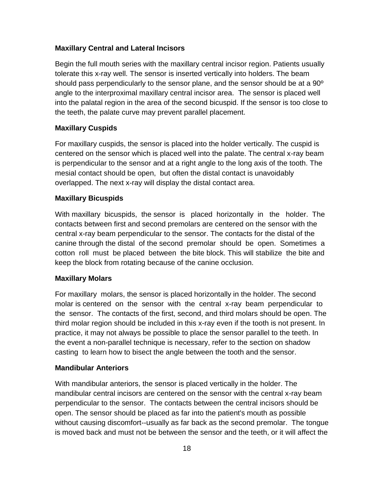#### **Maxillary Central and Lateral Incisors**

Begin the full mouth series with the maxillary central incisor region. Patients usually tolerate this x-ray well. The sensor is inserted vertically into holders. The beam should pass perpendicularly to the sensor plane, and the sensor should be at a  $90^{\circ}$ angle to the interproximal maxillary central incisor area. The sensor is placed well into the palatal region in the area of the second bicuspid. If the sensor is too close to the teeth, the palate curve may prevent parallel placement.

#### **Maxillary Cuspids**

For maxillary cuspids, the sensor is placed into the holder vertically. The cuspid is centered on the sensor which is placed well into the palate. The central x-ray beam is perpendicular to the sensor and at a right angle to the long axis of the tooth. The mesial contact should be open, but often the distal contact is unavoidably overlapped. The next x-ray will display the distal contact area.

#### **Maxillary Bicuspids**

With maxillary bicuspids, the sensor is placed horizontally in the holder. The contacts between first and second premolars are centered on the sensor with the central x-ray beam perpendicular to the sensor. The contacts for the distal of the canine through the distal of the second premolar should be open. Sometimes a cotton roll must be placed between the bite block. This will stabilize the bite and keep the block from rotating because of the canine occlusion.

#### **Maxillary Molars**

For maxillary molars, the sensor is placed horizontally in the holder. The second molar is centered on the sensor with the central x-ray beam perpendicular to the sensor. The contacts of the first, second, and third molars should be open. The third molar region should be included in this x-ray even if the tooth is not present. In practice, it may not always be possible to place the sensor parallel to the teeth. In the event a non-parallel technique is necessary, refer to the section on shadow casting to learn how to bisect the angle between the tooth and the sensor.

#### **Mandibular Anteriors**

With mandibular anteriors, the sensor is placed vertically in the holder. The mandibular central incisors are centered on the sensor with the central x-ray beam perpendicular to the sensor. The contacts between the central incisors should be open. The sensor should be placed as far into the patient's mouth as possible without causing discomfort--usually as far back as the second premolar. The tongue is moved back and must not be between the sensor and the teeth, or it will affect the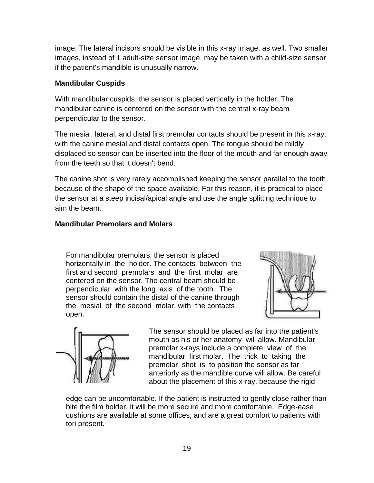image. The lateral incisors should be visible in this x-ray image, as well. Two smaller images, instead of 1 adult-size sensor image, may be taken with a child-size sensor if the patient's mandible is unusually narrow.

#### **Mandibular Cuspids**

With mandibular cuspids, the sensor is placed vertically in the holder. The mandibular canine is centered on the sensor with the central x-ray beam perpendicular to the sensor.

The mesial, lateral, and distal first premolar contacts should be present in this x-ray, with the canine mesial and distal contacts open. The tongue should be mildly displaced so sensor can be inserted into the floor of the mouth and far enough away from the teeth so that it doesn't bend.

The canine shot is very rarely accomplished keeping the sensor parallel to the tooth because of the shape of the space available. For this reason, it is practical to place the sensor at a steep incisal/apical angle and use the angle splitting technique to aim the beam.

### **Mandibular Premolars and Molars**

For mandibular premolars, the sensor is placed horizontally in the holder. The contacts between the first and second premolars and the first molar are centered on the sensor. The central beam should be perpendicular with the long axis of the tooth. The sensor should contain the distal of the canine through the mesial of the second molar, with the contacts open.





The sensor should be placed as far into the patient's mouth as his or her anatomy will allow. Mandibular premolar x-rays include a complete view of the mandibular first molar. The trick to taking the premolar shot is to position the sensor as far anteriorly as the mandible curve will allow. Be careful about the placement of this x-ray, because the rigid

edge can be uncomfortable. If the patient is instructed to gently close rather than bite the film holder, it will be more secure and more comfortable. Edge-ease cushions are available at some offices, and are a great comfort to patients with tori present.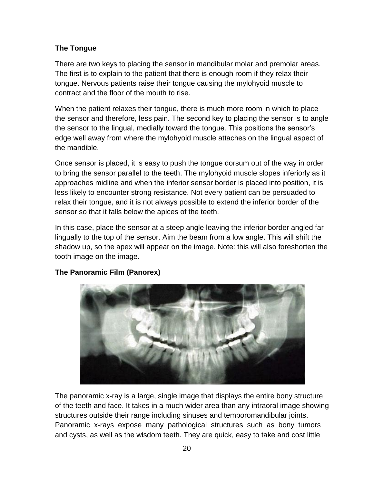### **The Tongue**

There are two keys to placing the sensor in mandibular molar and premolar areas. The first is to explain to the patient that there is enough room if they relax their tongue. Nervous patients raise their tongue causing the mylohyoid muscle to contract and the floor of the mouth to rise.

When the patient relaxes their tongue, there is much more room in which to place the sensor and therefore, less pain. The second key to placing the sensor is to angle the sensor to the lingual, medially toward the tongue. This positions the sensor's edge well away from where the mylohyoid muscle attaches on the lingual aspect of the mandible.

Once sensor is placed, it is easy to push the tongue dorsum out of the way in order to bring the sensor parallel to the teeth. The mylohyoid muscle slopes inferiorly as it approaches midline and when the inferior sensor border is placed into position, it is less likely to encounter strong resistance. Not every patient can be persuaded to relax their tongue, and it is not always possible to extend the inferior border of the sensor so that it falls below the apices of the teeth.

In this case, place the sensor at a steep angle leaving the inferior border angled far lingually to the top of the sensor. Aim the beam from a low angle. This will shift the shadow up, so the apex will appear on the image. Note: this will also foreshorten the tooth image on the image.



### **The Panoramic Film (Panorex)**

The panoramic x-ray is a large, single image that displays the entire bony structure of the teeth and face. It takes in a much wider area than any intraoral image showing structures outside their range including sinuses and temporomandibular joints. Panoramic x-rays expose many pathological structures such as bony tumors and cysts, as well as the wisdom teeth. They are quick, easy to take and cost little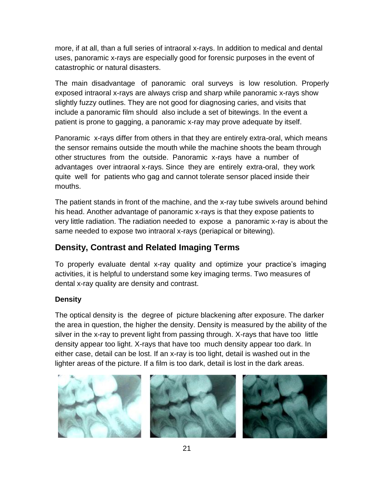more, if at all, than a full series of intraoral x-rays. In addition to medical and dental uses, panoramic x-rays are especially good for forensic purposes in the event of catastrophic or natural disasters.

The main disadvantage of panoramic oral surveys is low resolution. Properly exposed intraoral x-rays are always crisp and sharp while panoramic x-rays show slightly fuzzy outlines. They are not good for diagnosing caries, and visits that include a panoramic film should also include a set of bitewings. In the event a patient is prone to gagging, a panoramic x-ray may prove adequate by itself.

Panoramic x-rays differ from others in that they are entirely extra-oral, which means the sensor remains outside the mouth while the machine shoots the beam through other structures from the outside. Panoramic x-rays have a number of advantages over intraoral x-rays. Since they are entirely extra-oral, they work quite well for patients who gag and cannot tolerate sensor placed inside their mouths.

The patient stands in front of the machine, and the x-ray tube swivels around behind his head. Another advantage of panoramic x-rays is that they expose patients to very little radiation. The radiation needed to expose a panoramic x-ray is about the same needed to expose two intraoral x-rays (periapical or bitewing).

## **Density, Contrast and Related Imaging Terms**

To properly evaluate dental x-ray quality and optimize your practice's imaging activities, it is helpful to understand some key imaging terms. Two measures of dental x-ray quality are density and contrast.

### **Density**

The optical density is the degree of picture blackening after exposure. The darker the area in question, the higher the density. Density is measured by the ability of the silver in the x-ray to prevent light from passing through. X-rays that have too little density appear too light. X-rays that have too much density appear too dark. In either case, detail can be lost. If an x-ray is too light, detail is washed out in the lighter areas of the picture. If a film is too dark, detail is lost in the dark areas.





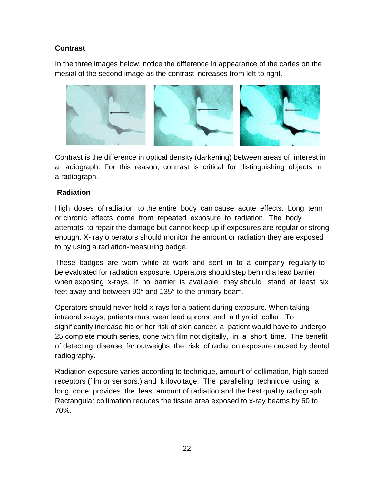### **Contrast**

In the three images below, notice the difference in appearance of the caries on the mesial of the second image as the contrast increases from left to right.



Contrast is the difference in optical density (darkening) between areas of interest in a radiograph. For this reason, contrast is critical for distinguishing objects in a radiograph.

#### **Radiation**

High doses of radiation to the entire body can cause acute effects. Long term or chronic effects come from repeated exposure to radiation. The body attempts to repair the damage but cannot keep up if exposures are regular or strong enough. X- ray o perators should monitor the amount or radiation they are exposed to by using a radiation-measuring badge.

These badges are worn while at work and sent in to a company regularly to be evaluated for radiation exposure. Operators should step behind a lead barrier when exposing x-rays. If no barrier is available, they should stand at least six feet away and between 90° and 135° to the primary beam.

Operators should never hold x-rays for a patient during exposure. When taking intraoral x-rays, patients must wear lead aprons and a thyroid collar. To significantly increase his or her risk of skin cancer, a patient would have to undergo 25 complete mouth series, done with film not digitally, in a short time. The benefit of detecting disease far outweighs the risk of radiation exposure caused by dental radiography.

Radiation exposure varies according to technique, amount of collimation, high speed receptors (film or sensors,) and k ilovoltage. The paralleling technique using a long cone provides the least amount of radiation and the best quality radiograph. Rectangular collimation reduces the tissue area exposed to x-ray beams by 60 to 70%.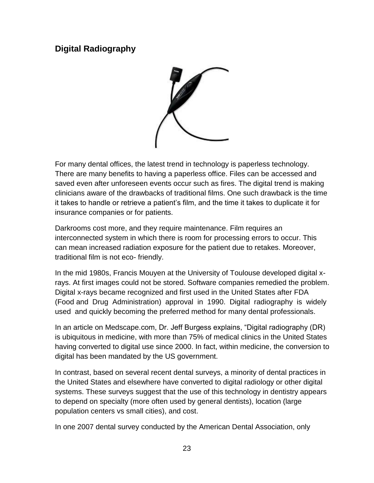### **Digital Radiography**



For many dental offices, the latest trend in technology is paperless technology. There are many benefits to having a paperless office. Files can be accessed and saved even after unforeseen events occur such as fires. The digital trend is making clinicians aware of the drawbacks of traditional films. One such drawback is the time it takes to handle or retrieve a patient's film, and the time it takes to duplicate it for insurance companies or for patients.

Darkrooms cost more, and they require maintenance. Film requires an interconnected system in which there is room for processing errors to occur. This can mean increased radiation exposure for the patient due to retakes. Moreover, traditional film is not eco- friendly.

In the mid 1980s, Francis Mouyen at the University of Toulouse developed digital xrays. At first images could not be stored. Software companies remedied the problem. Digital x-rays became recognized and first used in the United States after FDA (Food and Drug Administration) approval in 1990. Digital radiography is widely used and quickly becoming the preferred method for many dental professionals.

In an article on Medscape.com, Dr. Jeff Burgess explains, "Digital radiography (DR) is ubiquitous in medicine, with more than 75% of medical clinics in the United States having converted to digital use since 2000. In fact, within medicine, the conversion to digital has been mandated by the US government.

In contrast, based on several recent dental surveys, a minority of dental practices in the United States and elsewhere have converted to digital radiology or other digital systems. These surveys suggest that the use of this technology in dentistry appears to depend on specialty (more often used by general dentists), location (large population centers vs small cities), and cost.

In one 2007 dental survey conducted by the American Dental Association, only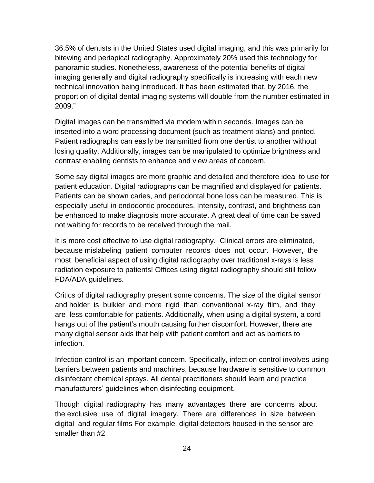36.5% of dentists in the United States used digital imaging, and this was primarily for bitewing and periapical radiography. Approximately 20% used this technology for panoramic studies. Nonetheless, awareness of the potential benefits of digital imaging generally and digital radiography specifically is increasing with each new technical innovation being introduced. It has been estimated that, by 2016, the proportion of digital dental imaging systems will double from the number estimated in 2009."

Digital images can be transmitted via modem within seconds. Images can be inserted into a word processing document (such as treatment plans) and printed. Patient radiographs can easily be transmitted from one dentist to another without losing quality. Additionally, images can be manipulated to optimize brightness and contrast enabling dentists to enhance and view areas of concern.

Some say digital images are more graphic and detailed and therefore ideal to use for patient education. Digital radiographs can be magnified and displayed for patients. Patients can be shown caries, and periodontal bone loss can be measured. This is especially useful in endodontic procedures. Intensity, contrast, and brightness can be enhanced to make diagnosis more accurate. A great deal of time can be saved not waiting for records to be received through the mail.

It is more cost effective to use digital radiography. Clinical errors are eliminated, because mislabeling patient computer records does not occur. However, the most beneficial aspect of using digital radiography over traditional x-rays is less radiation exposure to patients! Offices using digital radiography should still follow FDA/ADA guidelines.

Critics of digital radiography present some concerns. The size of the digital sensor and holder is bulkier and more rigid than conventional x-ray film, and they are less comfortable for patients. Additionally, when using a digital system, a cord hangs out of the patient's mouth causing further discomfort. However, there are many digital sensor aids that help with patient comfort and act as barriers to infection.

Infection control is an important concern. Specifically, infection control involves using barriers between patients and machines, because hardware is sensitive to common disinfectant chemical sprays. All dental practitioners should learn and practice manufacturers' guidelines when disinfecting equipment.

Though digital radiography has many advantages there are concerns about the exclusive use of digital imagery. There are differences in size between digital and regular films For example, digital detectors housed in the sensor are smaller than #2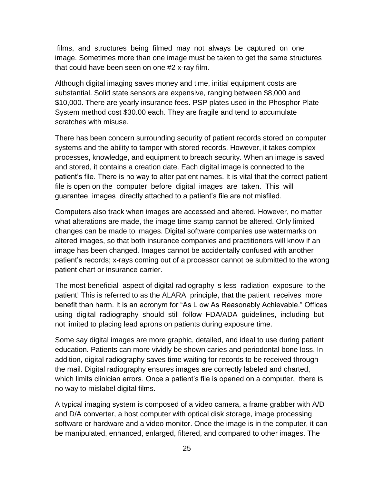films, and structures being filmed may not always be captured on one image. Sometimes more than one image must be taken to get the same structures that could have been seen on one #2 x-ray film.

Although digital imaging saves money and time, initial equipment costs are substantial. Solid state sensors are expensive, ranging between \$8,000 and \$10,000. There are yearly insurance fees. PSP plates used in the Phosphor Plate System method cost \$30.00 each. They are fragile and tend to accumulate scratches with misuse.

There has been concern surrounding security of patient records stored on computer systems and the ability to tamper with stored records. However, it takes complex processes, knowledge, and equipment to breach security. When an image is saved and stored, it contains a creation date. Each digital image is connected to the patient's file. There is no way to alter patient names. It is vital that the correct patient file is open on the computer before digital images are taken. This will guarantee images directly attached to a patient's file are not misfiled.

Computers also track when images are accessed and altered. However, no matter what alterations are made, the image time stamp cannot be altered. Only limited changes can be made to images. Digital software companies use watermarks on altered images, so that both insurance companies and practitioners will know if an image has been changed. Images cannot be accidentally confused with another patient's records; x-rays coming out of a processor cannot be submitted to the wrong patient chart or insurance carrier.

The most beneficial aspect of digital radiography is less radiation exposure to the patient! This is referred to as the ALARA principle, that the patient receives more benefit than harm. It is an acronym for "As L ow As Reasonably Achievable." Offices using digital radiography should still follow FDA/ADA guidelines, including but not limited to placing lead aprons on patients during exposure time.

Some say digital images are more graphic, detailed, and ideal to use during patient education. Patients can more vividly be shown caries and periodontal bone loss. In addition, digital radiography saves time waiting for records to be received through the mail. Digital radiography ensures images are correctly labeled and charted, which limits clinician errors. Once a patient's file is opened on a computer, there is no way to mislabel digital films.

A typical imaging system is composed of a video camera, a frame grabber with A/D and D/A converter, a host computer with optical disk storage, image processing software or hardware and a video monitor. Once the image is in the computer, it can be manipulated, enhanced, enlarged, filtered, and compared to other images. The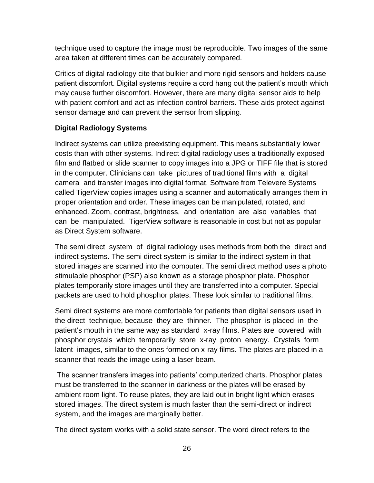technique used to capture the image must be reproducible. Two images of the same area taken at different times can be accurately compared.

Critics of digital radiology cite that bulkier and more rigid sensors and holders cause patient discomfort. Digital systems require a cord hang out the patient's mouth which may cause further discomfort. However, there are many digital sensor aids to help with patient comfort and act as infection control barriers. These aids protect against sensor damage and can prevent the sensor from slipping.

### **Digital Radiology Systems**

Indirect systems can utilize preexisting equipment. This means substantially lower costs than with other systems. Indirect digital radiology uses a traditionally exposed film and flatbed or slide scanner to copy images into a JPG or TIFF file that is stored in the computer. Clinicians can take pictures of traditional films with a digital camera and transfer images into digital format. Software from Televere Systems called TigerView copies images using a scanner and automatically arranges them in proper orientation and order. These images can be manipulated, rotated, and enhanced. Zoom, contrast, brightness, and orientation are also variables that can be manipulated. TigerView software is reasonable in cost but not as popular as Direct System software.

The semi direct system of digital radiology uses methods from both the direct and indirect systems. The semi direct system is similar to the indirect system in that stored images are scanned into the computer. The semi direct method uses a photo stimulable phosphor (PSP) also known as a storage phosphor plate. Phosphor plates temporarily store images until they are transferred into a computer. Special packets are used to hold phosphor plates. These look similar to traditional films.

Semi direct systems are more comfortable for patients than digital sensors used in the direct technique, because they are thinner. The phosphor is placed in the patient's mouth in the same way as standard x-ray films. Plates are covered with phosphor crystals which temporarily store x-ray proton energy. Crystals form latent images, similar to the ones formed on x-ray films. The plates are placed in a scanner that reads the image using a laser beam.

The scanner transfers images into patients' computerized charts. Phosphor plates must be transferred to the scanner in darkness or the plates will be erased by ambient room light. To reuse plates, they are laid out in bright light which erases stored images. The direct system is much faster than the semi-direct or indirect system, and the images are marginally better.

The direct system works with a solid state sensor. The word direct refers to the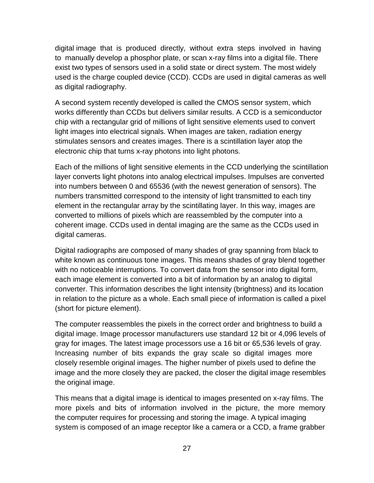digital image that is produced directly, without extra steps involved in having to manually develop a phosphor plate, or scan x-ray films into a digital file. There exist two types of sensors used in a solid state or direct system. The most widely used is the charge coupled device (CCD). CCDs are used in digital cameras as well as digital radiography.

A second system recently developed is called the CMOS sensor system, which works differently than CCDs but delivers similar results. A CCD is a semiconductor chip with a rectangular grid of millions of light sensitive elements used to convert light images into electrical signals. When images are taken, radiation energy stimulates sensors and creates images. There is a scintillation layer atop the electronic chip that turns x-ray photons into light photons.

Each of the millions of light sensitive elements in the CCD underlying the scintillation layer converts light photons into analog electrical impulses. Impulses are converted into numbers between 0 and 65536 (with the newest generation of sensors). The numbers transmitted correspond to the intensity of light transmitted to each tiny element in the rectangular array by the scintillating layer. In this way, images are converted to millions of pixels which are reassembled by the computer into a coherent image. CCDs used in dental imaging are the same as the CCDs used in digital cameras.

Digital radiographs are composed of many shades of gray spanning from black to white known as continuous tone images. This means shades of gray blend together with no noticeable interruptions. To convert data from the sensor into digital form, each image element is converted into a bit of information by an analog to digital converter. This information describes the light intensity (brightness) and its location in relation to the picture as a whole. Each small piece of information is called a pixel (short for picture element).

The computer reassembles the pixels in the correct order and brightness to build a digital image. Image processor manufacturers use standard 12 bit or 4,096 levels of gray for images. The latest image processors use a 16 bit or 65,536 levels of gray. Increasing number of bits expands the gray scale so digital images more closely resemble original images. The higher number of pixels used to define the image and the more closely they are packed, the closer the digital image resembles the original image.

This means that a digital image is identical to images presented on x-ray films. The more pixels and bits of information involved in the picture, the more memory the computer requires for processing and storing the image. A typical imaging system is composed of an image receptor like a camera or a CCD, a frame grabber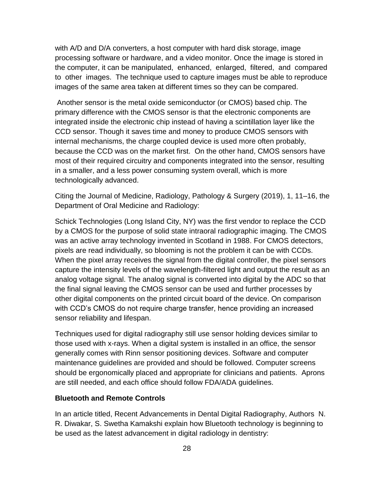with A/D and D/A converters, a host computer with hard disk storage, image processing software or hardware, and a video monitor. Once the image is stored in the computer, it can be manipulated, enhanced, enlarged, filtered, and compared to other images. The technique used to capture images must be able to reproduce images of the same area taken at different times so they can be compared.

Another sensor is the metal oxide semiconductor (or CMOS) based chip. The primary difference with the CMOS sensor is that the electronic components are integrated inside the electronic chip instead of having a scintillation layer like the CCD sensor. Though it saves time and money to produce CMOS sensors with internal mechanisms, the charge coupled device is used more often probably, because the CCD was on the market first. On the other hand, CMOS sensors have most of their required circuitry and components integrated into the sensor, resulting in a smaller, and a less power consuming system overall, which is more technologically advanced.

Citing the Journal of Medicine, Radiology, Pathology & Surgery (2019), 1, 11–16, the Department of Oral Medicine and Radiology:

Schick Technologies (Long Island City, NY) was the first vendor to replace the CCD by a CMOS for the purpose of solid state intraoral radiographic imaging. The CMOS was an active array technology invented in Scotland in 1988. For CMOS detectors, pixels are read individually, so blooming is not the problem it can be with CCDs. When the pixel array receives the signal from the digital controller, the pixel sensors capture the intensity levels of the wavelength-filtered light and output the result as an analog voltage signal. The analog signal is converted into digital by the ADC so that the final signal leaving the CMOS sensor can be used and further processes by other digital components on the printed circuit board of the device. On comparison with CCD's CMOS do not require charge transfer, hence providing an increased sensor reliability and lifespan.

Techniques used for digital radiography still use sensor holding devices similar to those used with x-rays. When a digital system is installed in an office, the sensor generally comes with Rinn sensor positioning devices. Software and computer maintenance guidelines are provided and should be followed. Computer screens should be ergonomically placed and appropriate for clinicians and patients. Aprons are still needed, and each office should follow FDA/ADA guidelines.

#### **Bluetooth and Remote Controls**

In an article titled, Recent Advancements in Dental Digital Radiography, Authors N. R. Diwakar, S. Swetha Kamakshi explain how Bluetooth technology is beginning to be used as the latest advancement in digital radiology in dentistry: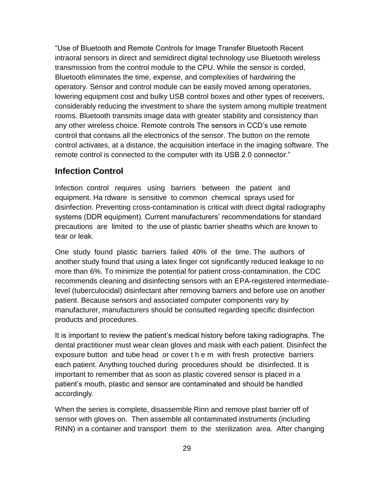"Use of Bluetooth and Remote Controls for Image Transfer Bluetooth Recent intraoral sensors in direct and semidirect digital technology use Bluetooth wireless transmission from the control module to the CPU. While the sensor is corded, Bluetooth eliminates the time, expense, and complexities of hardwiring the operatory. Sensor and control module can be easily moved among operatories, lowering equipment cost and bulky USB control boxes and other types of receivers, considerably reducing the investment to share the system among multiple treatment rooms. Bluetooth transmits image data with greater stability and consistency than any other wireless choice. Remote controls The sensors in CCD's use remote control that contains all the electronics of the sensor. The button on the remote control activates, at a distance, the acquisition interface in the imaging software. The remote control is connected to the computer with its USB 2.0 connector."

### **Infection Control**

Infection control requires using barriers between the patient and equipment. Ha rdware is sensitive to common chemical sprays used for disinfection. Preventing cross-contamination is critical with direct digital radiography systems (DDR equipment). Current manufacturers' recommendations for standard precautions are limited to the use of plastic barrier sheaths which are known to tear or leak.

One study found plastic barriers failed 40% of the time. The authors of another study found that using a latex finger cot significantly reduced leakage to no more than 6%. To minimize the potential for patient cross-contamination, the CDC recommends cleaning and disinfecting sensors with an EPA-registered intermediatelevel (tuberculocidal) disinfectant after removing barriers and before use on another patient. Because sensors and associated computer components vary by manufacturer, manufacturers should be consulted regarding specific disinfection products and procedures.

It is important to review the patient's medical history before taking radiographs. The dental practitioner must wear clean gloves and mask with each patient. Disinfect the exposure button and tube head or cover t h e m with fresh protective barriers each patient. Anything touched during procedures should be disinfected. It is important to remember that as soon as plastic covered sensor is placed in a patient's mouth, plastic and sensor are contaminated and should be handled accordingly.

When the series is complete, disassemble Rinn and remove plast barrier off of sensor with gloves on. Then assemble all contaminated instruments (including RINN) in a container and transport them to the sterilization area. After changing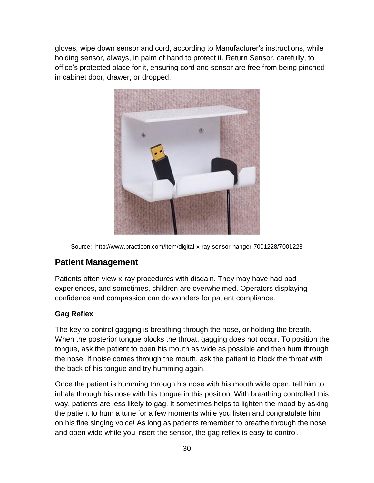gloves, wipe down sensor and cord, according to Manufacturer's instructions, while holding sensor, always, in palm of hand to protect it. Return Sensor, carefully, to office's protected place for it, ensuring cord and sensor are free from being pinched in cabinet door, drawer, or dropped.



Source: http://www.practicon.com/item/digital-x-ray-sensor-hanger-7001228/7001228

### **Patient Management**

Patients often view x-ray procedures with disdain. They may have had bad experiences, and sometimes, children are overwhelmed. Operators displaying confidence and compassion can do wonders for patient compliance.

### **Gag Reflex**

The key to control gagging is breathing through the nose, or holding the breath. When the posterior tongue blocks the throat, gagging does not occur. To position the tongue, ask the patient to open his mouth as wide as possible and then hum through the nose. If noise comes through the mouth, ask the patient to block the throat with the back of his tongue and try humming again.

Once the patient is humming through his nose with his mouth wide open, tell him to inhale through his nose with his tongue in this position. With breathing controlled this way, patients are less likely to gag. It sometimes helps to lighten the mood by asking the patient to hum a tune for a few moments while you listen and congratulate him on his fine singing voice! As long as patients remember to breathe through the nose and open wide while you insert the sensor, the gag reflex is easy to control.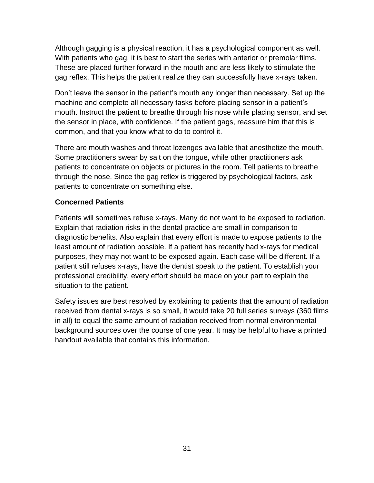Although gagging is a physical reaction, it has a psychological component as well. With patients who gag, it is best to start the series with anterior or premolar films. These are placed further forward in the mouth and are less likely to stimulate the gag reflex. This helps the patient realize they can successfully have x-rays taken.

Don't leave the sensor in the patient's mouth any longer than necessary. Set up the machine and complete all necessary tasks before placing sensor in a patient's mouth. Instruct the patient to breathe through his nose while placing sensor, and set the sensor in place, with confidence. If the patient gags, reassure him that this is common, and that you know what to do to control it.

There are mouth washes and throat lozenges available that anesthetize the mouth. Some practitioners swear by salt on the tongue, while other practitioners ask patients to concentrate on objects or pictures in the room. Tell patients to breathe through the nose. Since the gag reflex is triggered by psychological factors, ask patients to concentrate on something else.

#### **Concerned Patients**

Patients will sometimes refuse x-rays. Many do not want to be exposed to radiation. Explain that radiation risks in the dental practice are small in comparison to diagnostic benefits. Also explain that every effort is made to expose patients to the least amount of radiation possible. If a patient has recently had x-rays for medical purposes, they may not want to be exposed again. Each case will be different. If a patient still refuses x-rays, have the dentist speak to the patient. To establish your professional credibility, every effort should be made on your part to explain the situation to the patient.

Safety issues are best resolved by explaining to patients that the amount of radiation received from dental x-rays is so small, it would take 20 full series surveys (360 films in all) to equal the same amount of radiation received from normal environmental background sources over the course of one year. It may be helpful to have a printed handout available that contains this information.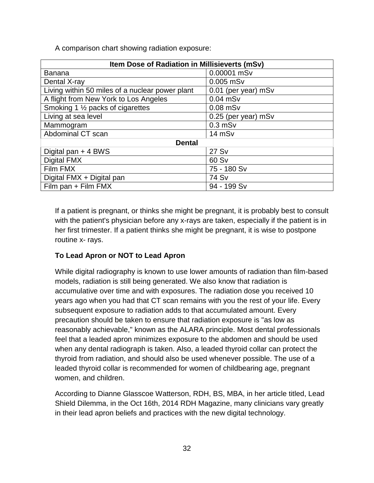A comparison chart showing radiation exposure:

| Item Dose of Radiation in Millisieverts (mSv)   |                     |  |  |  |
|-------------------------------------------------|---------------------|--|--|--|
| <b>Banana</b>                                   | 0.00001 mSv         |  |  |  |
| Dental X-ray                                    | $0.005$ mSv         |  |  |  |
| Living within 50 miles of a nuclear power plant | 0.01 (per year) mSv |  |  |  |
| A flight from New York to Los Angeles           | $0.04$ mSv          |  |  |  |
| Smoking 1 1/2 packs of cigarettes               | $0.08$ mSv          |  |  |  |
| Living at sea level                             | 0.25 (per year) mSv |  |  |  |
| Mammogram                                       | $0.3$ mS $v$        |  |  |  |
| Abdominal CT scan                               | 14 mSv              |  |  |  |
| <b>Dental</b>                                   |                     |  |  |  |
| Digital pan + 4 BWS                             | 27 Sv               |  |  |  |
| Digital FMX                                     | 60 Sv               |  |  |  |
| Film FMX                                        | 75 - 180 Sv         |  |  |  |
| Digital FMX + Digital pan                       | 74 Sv               |  |  |  |
| Film pan + Film FMX                             | 94 - 199 Sv         |  |  |  |

If a patient is pregnant, or thinks she might be pregnant, it is probably best to consult with the patient's physician before any x-rays are taken, especially if the patient is in her first trimester. If a patient thinks she might be pregnant, it is wise to postpone routine x- rays.

### **To Lead Apron or NOT to Lead Apron**

While digital radiography is known to use lower amounts of radiation than film-based models, radiation is still being generated. We also know that radiation is accumulative over time and with exposures. The radiation dose you received 10 years ago when you had that CT scan remains with you the rest of your life. Every subsequent exposure to radiation adds to that accumulated amount. Every precaution should be taken to ensure that radiation exposure is "as low as reasonably achievable," known as the ALARA principle. Most dental professionals feel that a leaded apron minimizes exposure to the abdomen and should be used when any dental radiograph is taken. Also, a leaded thyroid collar can protect the thyroid from radiation, and should also be used whenever possible. The use of a leaded thyroid collar is recommended for women of childbearing age, pregnant women, and children.

According to Dianne Glasscoe Watterson, RDH, BS, MBA, in her article titled, Lead Shield Dilemma, in the Oct 16th, 2014 RDH Magazine, many clinicians vary greatly in their lead apron beliefs and practices with the new digital technology.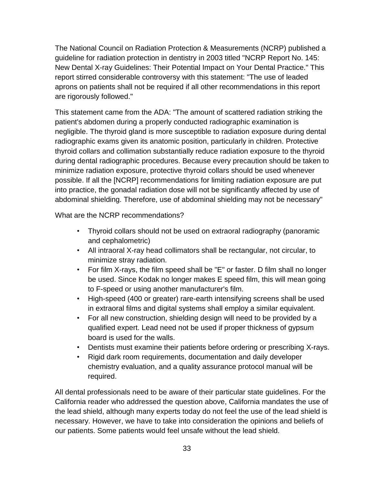The National Council on Radiation Protection & Measurements (NCRP) published a guideline for radiation protection in dentistry in 2003 titled "NCRP Report No. 145: New Dental X-ray Guidelines: Their Potential Impact on Your Dental Practice." This report stirred considerable controversy with this statement: "The use of leaded aprons on patients shall not be required if all other recommendations in this report are rigorously followed."

This statement came from the ADA: "The amount of scattered radiation striking the patient's abdomen during a properly conducted radiographic examination is negligible. The thyroid gland is more susceptible to radiation exposure during dental radiographic exams given its anatomic position, particularly in children. Protective thyroid collars and collimation substantially reduce radiation exposure to the thyroid during dental radiographic procedures. Because every precaution should be taken to minimize radiation exposure, protective thyroid collars should be used whenever possible. If all the [NCRP] recommendations for limiting radiation exposure are put into practice, the gonadal radiation dose will not be significantly affected by use of abdominal shielding. Therefore, use of abdominal shielding may not be necessary"

What are the NCRP recommendations?

- Thyroid collars should not be used on extraoral radiography (panoramic and cephalometric)
- All intraoral X-ray head collimators shall be rectangular, not circular, to minimize stray radiation.
- For film X-rays, the film speed shall be "E" or faster. D film shall no longer be used. Since Kodak no longer makes E speed film, this will mean going to F-speed or using another manufacturer's film.
- High-speed (400 or greater) rare-earth intensifying screens shall be used in extraoral films and digital systems shall employ a similar equivalent.
- For all new construction, shielding design will need to be provided by a qualified expert. Lead need not be used if proper thickness of gypsum board is used for the walls.
- Dentists must examine their patients before ordering or prescribing X-rays.
- Rigid dark room requirements, documentation and daily developer chemistry evaluation, and a quality assurance protocol manual will be required.

All dental professionals need to be aware of their particular state guidelines. For the California reader who addressed the question above, California mandates the use of the lead shield, although many experts today do not feel the use of the lead shield is necessary. However, we have to take into consideration the opinions and beliefs of our patients. Some patients would feel unsafe without the lead shield.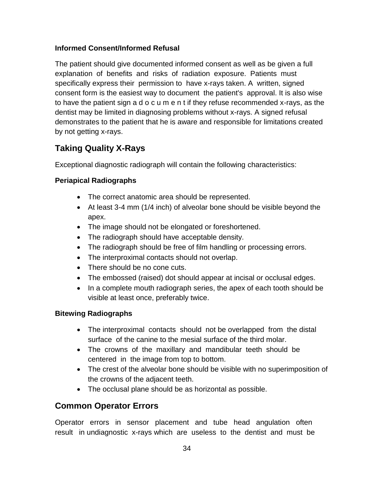#### **Informed Consent/Informed Refusal**

The patient should give documented informed consent as well as be given a full explanation of benefits and risks of radiation exposure. Patients must specifically express their permission to have x-rays taken. A written, signed consent form is the easiest way to document the patient's approval. It is also wise to have the patient sign a d o c u m e n t if they refuse recommended x-rays, as the dentist may be limited in diagnosing problems without x-rays. A signed refusal demonstrates to the patient that he is aware and responsible for limitations created by not getting x-rays.

## **Taking Quality X-Rays**

Exceptional diagnostic radiograph will contain the following characteristics:

### **Periapical Radiographs**

- The correct anatomic area should be represented.
- At least 3-4 mm (1/4 inch) of alveolar bone should be visible beyond the apex.
- The image should not be elongated or foreshortened.
- The radiograph should have acceptable density.
- The radiograph should be free of film handling or processing errors.
- The interproximal contacts should not overlap.
- There should be no cone cuts.
- The embossed (raised) dot should appear at incisal or occlusal edges.
- In a complete mouth radiograph series, the apex of each tooth should be visible at least once, preferably twice.

### **Bitewing Radiographs**

- The interproximal contacts should not be overlapped from the distal surface of the canine to the mesial surface of the third molar.
- The crowns of the maxillary and mandibular teeth should be centered in the image from top to bottom.
- The crest of the alveolar bone should be visible with no superimposition of the crowns of the adjacent teeth.
- The occlusal plane should be as horizontal as possible.

### **Common Operator Errors**

Operator errors in sensor placement and tube head angulation often result in undiagnostic x-rays which are useless to the dentist and must be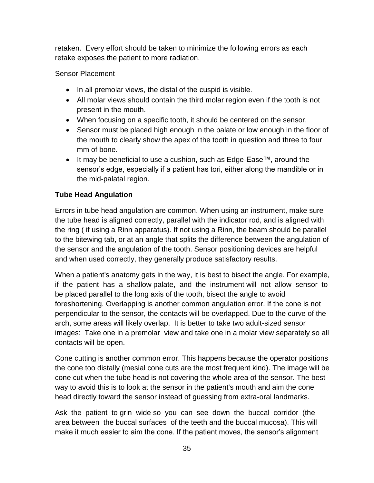retaken. Every effort should be taken to minimize the following errors as each retake exposes the patient to more radiation.

#### Sensor Placement

- In all premolar views, the distal of the cuspid is visible.
- All molar views should contain the third molar region even if the tooth is not present in the mouth.
- When focusing on a specific tooth, it should be centered on the sensor.
- Sensor must be placed high enough in the palate or low enough in the floor of the mouth to clearly show the apex of the tooth in question and three to four mm of bone.
- It may be beneficial to use a cushion, such as Edge-Ease™, around the sensor's edge, especially if a patient has tori, either along the mandible or in the mid-palatal region.

#### **Tube Head Angulation**

Errors in tube head angulation are common. When using an instrument, make sure the tube head is aligned correctly, parallel with the indicator rod, and is aligned with the ring ( if using a Rinn apparatus). If not using a Rinn, the beam should be parallel to the bitewing tab, or at an angle that splits the difference between the angulation of the sensor and the angulation of the tooth. Sensor positioning devices are helpful and when used correctly, they generally produce satisfactory results.

When a patient's anatomy gets in the way, it is best to bisect the angle. For example, if the patient has a shallow palate, and the instrument will not allow sensor to be placed parallel to the long axis of the tooth, bisect the angle to avoid foreshortening. Overlapping is another common angulation error. If the cone is not perpendicular to the sensor, the contacts will be overlapped. Due to the curve of the arch, some areas will likely overlap. It is better to take two adult-sized sensor images: Take one in a premolar view and take one in a molar view separately so all contacts will be open.

Cone cutting is another common error. This happens because the operator positions the cone too distally (mesial cone cuts are the most frequent kind). The image will be cone cut when the tube head is not covering the whole area of the sensor. The best way to avoid this is to look at the sensor in the patient's mouth and aim the cone head directly toward the sensor instead of guessing from extra-oral landmarks.

Ask the patient to grin wide so you can see down the buccal corridor (the area between the buccal surfaces of the teeth and the buccal mucosa). This will make it much easier to aim the cone. If the patient moves, the sensor's alignment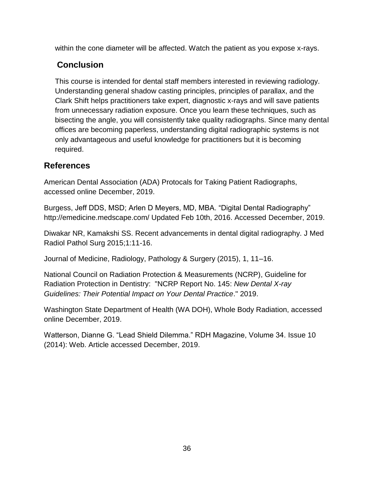within the cone diameter will be affected. Watch the patient as you expose x-rays.

## **Conclusion**

This course is intended for dental staff members interested in reviewing radiology. Understanding general shadow casting principles, principles of parallax, and the Clark Shift helps practitioners take expert, diagnostic x-rays and will save patients from unnecessary radiation exposure. Once you learn these techniques, such as bisecting the angle, you will consistently take quality radiographs. Since many dental offices are becoming paperless, understanding digital radiographic systems is not only advantageous and useful knowledge for practitioners but it is becoming required.

### **References**

American Dental Association (ADA) Protocals for Taking Patient Radiographs, accessed online December, 2019.

Burgess, Jeff DDS, MSD; Arlen D Meyers, MD, MBA. "Digital Dental Radiography" http://emedicine.medscape.com/ Updated Feb 10th, 2016. Accessed December, 2019.

Diwakar NR, Kamakshi SS. Recent advancements in dental digital radiography. J Med Radiol Pathol Surg 2015;1:11-16.

Journal of Medicine, Radiology, Pathology & Surgery (2015), 1, 11–16.

National Council on Radiation Protection & Measurements (NCRP), Guideline for Radiation Protection in Dentistry: "NCRP Report No. 145: *New Dental X-ray Guidelines: Their Potential Impact on Your Dental Practice*." 2019.

Washington State Department of Health (WA DOH), Whole Body Radiation, accessed online December, 2019.

Watterson, Dianne G. "Lead Shield Dilemma." RDH Magazine, Volume 34. Issue 10 (2014): Web. Article accessed December, 2019.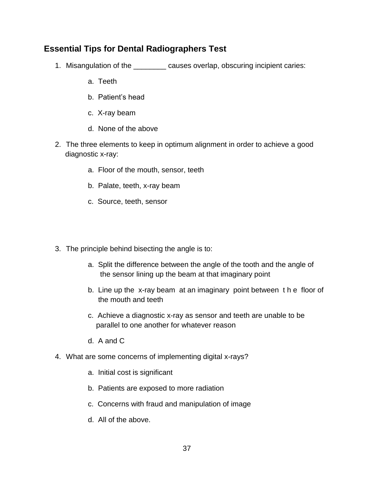### **Essential Tips for Dental Radiographers Test**

- 1. Misangulation of the \_\_\_\_\_\_\_\_ causes overlap, obscuring incipient caries:
	- a. Teeth
	- b. Patient's head
	- c. X-ray beam
	- d. None of the above
- 2. The three elements to keep in optimum alignment in order to achieve a good diagnostic x-ray:
	- a. Floor of the mouth, sensor, teeth
	- b. Palate, teeth, x-ray beam
	- c. Source, teeth, sensor
- 3. The principle behind bisecting the angle is to:
	- a. Split the difference between the angle of the tooth and the angle of the sensor lining up the beam at that imaginary point
	- b. Line up the x-ray beam at an imaginary point between t h e floor of the mouth and teeth
	- c. Achieve a diagnostic x-ray as sensor and teeth are unable to be parallel to one another for whatever reason
	- d. A and C
- 4. What are some concerns of implementing digital x-rays?
	- a. Initial cost is significant
	- b. Patients are exposed to more radiation
	- c. Concerns with fraud and manipulation of image
	- d. All of the above.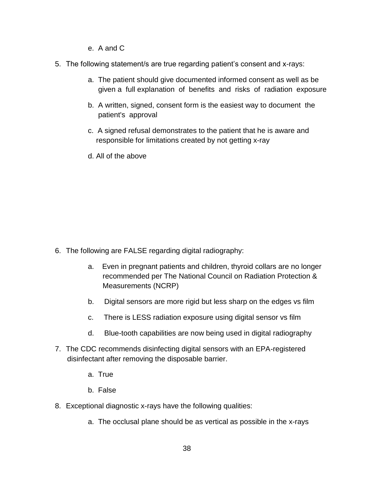- e. A and C
- 5. The following statement/s are true regarding patient's consent and x-rays:
	- a. The patient should give documented informed consent as well as be given a full explanation of benefits and risks of radiation exposure
	- b. A written, signed, consent form is the easiest way to document the patient's approval
	- c. A signed refusal demonstrates to the patient that he is aware and responsible for limitations created by not getting x-ray
	- d. All of the above

- 6. The following are FALSE regarding digital radiography:
	- a. Even in pregnant patients and children, thyroid collars are no longer recommended per The National Council on Radiation Protection & Measurements (NCRP)
	- b. Digital sensors are more rigid but less sharp on the edges vs film
	- c. There is LESS radiation exposure using digital sensor vs film
	- d. Blue-tooth capabilities are now being used in digital radiography
- 7. The CDC recommends disinfecting digital sensors with an EPA-registered disinfectant after removing the disposable barrier.
	- a. True
	- b. False
- 8. Exceptional diagnostic x-rays have the following qualities:
	- a. The occlusal plane should be as vertical as possible in the x-rays